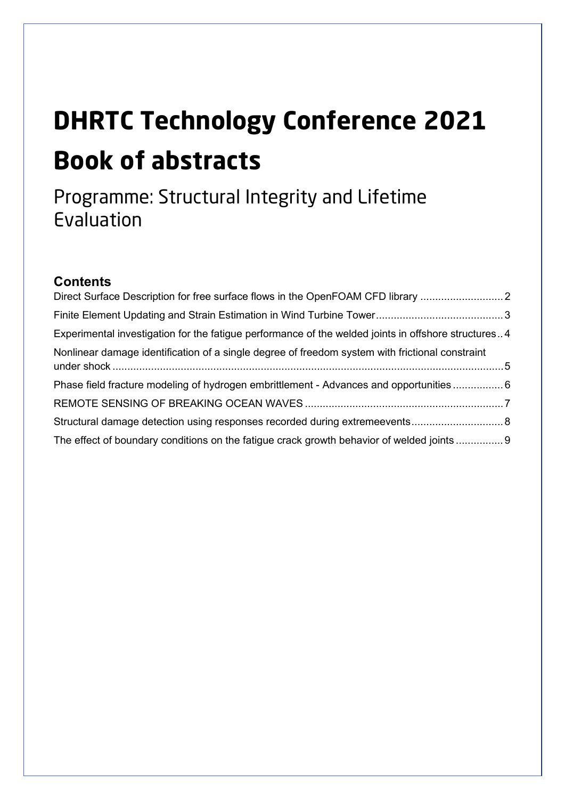# **DHRTC Technology Conference 2021 Book of abstracts**

## Programme: Structural Integrity and Lifetime Evaluation

#### **Contents**

| Direct Surface Description for free surface flows in the OpenFOAM CFD library                       |  |
|-----------------------------------------------------------------------------------------------------|--|
|                                                                                                     |  |
| Experimental investigation for the fatigue performance of the welded joints in offshore structures4 |  |
| Nonlinear damage identification of a single degree of freedom system with frictional constraint     |  |
| Phase field fracture modeling of hydrogen embrittlement - Advances and opportunities 6              |  |
|                                                                                                     |  |
|                                                                                                     |  |
| The effect of boundary conditions on the fatigue crack growth behavior of welded joints  9          |  |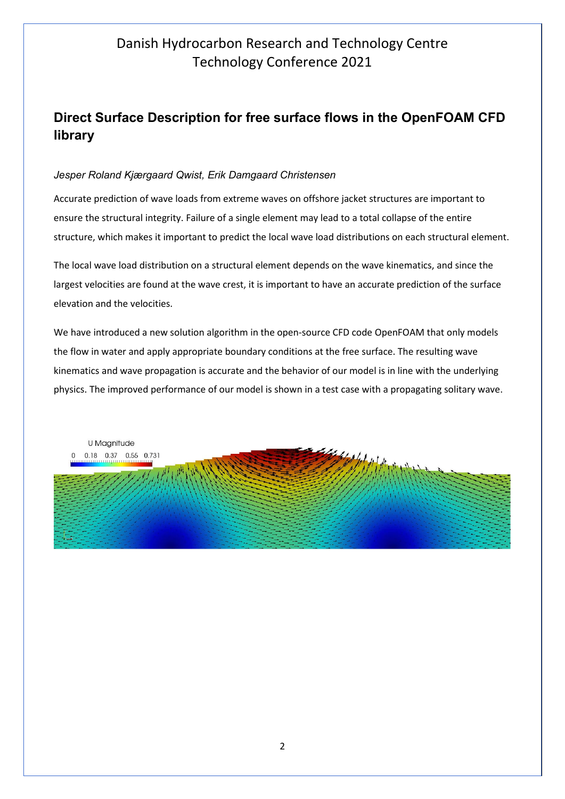## <span id="page-1-0"></span>**Direct Surface Description for free surface flows in the OpenFOAM CFD library**

#### *Jesper Roland Kjærgaard Qwist, Erik Damgaard Christensen*

Accurate prediction of wave loads from extreme waves on offshore jacket structures are important to ensure the structural integrity. Failure of a single element may lead to a total collapse of the entire structure, which makes it important to predict the local wave load distributions on each structural element.

The local wave load distribution on a structural element depends on the wave kinematics, and since the largest velocities are found at the wave crest, it is important to have an accurate prediction of the surface elevation and the velocities.

We have introduced a new solution algorithm in the open-source CFD code OpenFOAM that only models the flow in water and apply appropriate boundary conditions at the free surface. The resulting wave kinematics and wave propagation is accurate and the behavior of our model is in line with the underlying physics. The improved performance of our model is shown in a test case with a propagating solitary wave.

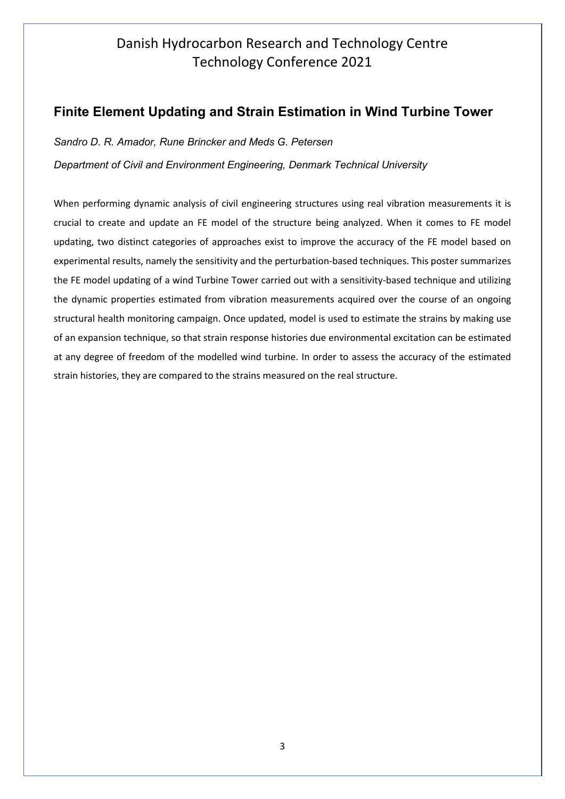#### <span id="page-2-0"></span>**Finite Element Updating and Strain Estimation in Wind Turbine Tower**

*Sandro D. R. Amador, Rune Brincker and Meds G. Petersen*

*Department of Civil and Environment Engineering, Denmark Technical University*

When performing dynamic analysis of civil engineering structures using real vibration measurements it is crucial to create and update an FE model of the structure being analyzed. When it comes to FE model updating, two distinct categories of approaches exist to improve the accuracy of the FE model based on experimental results, namely the sensitivity and the perturbation-based techniques. This poster summarizes the FE model updating of a wind Turbine Tower carried out with a sensitivity-based technique and utilizing the dynamic properties estimated from vibration measurements acquired over the course of an ongoing structural health monitoring campaign. Once updated, model is used to estimate the strains by making use of an expansion technique, so that strain response histories due environmental excitation can be estimated at any degree of freedom of the modelled wind turbine. In order to assess the accuracy of the estimated strain histories, they are compared to the strains measured on the real structure.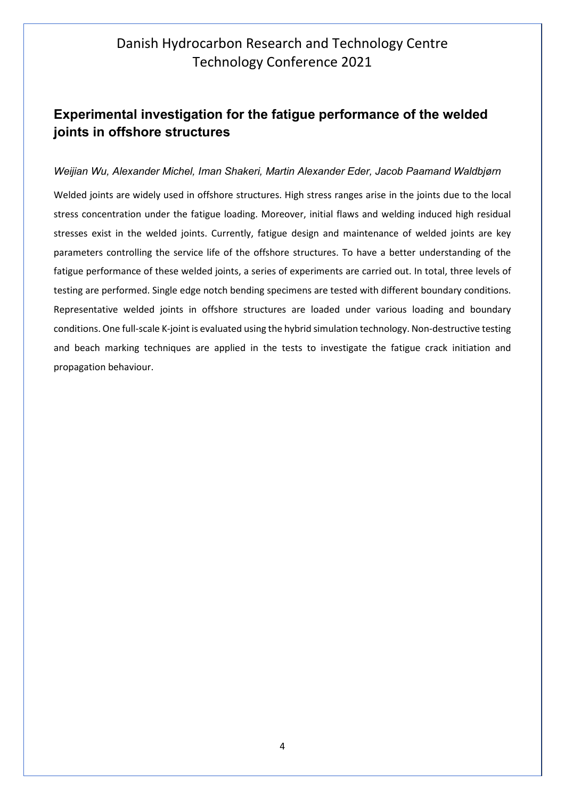## <span id="page-3-0"></span>**Experimental investigation for the fatigue performance of the welded joints in offshore structures**

#### *Weijian Wu, Alexander Michel, Iman Shakeri, Martin Alexander Eder, Jacob Paamand Waldbjørn*

Welded joints are widely used in offshore structures. High stress ranges arise in the joints due to the local stress concentration under the fatigue loading. Moreover, initial flaws and welding induced high residual stresses exist in the welded joints. Currently, fatigue design and maintenance of welded joints are key parameters controlling the service life of the offshore structures. To have a better understanding of the fatigue performance of these welded joints, a series of experiments are carried out. In total, three levels of testing are performed. Single edge notch bending specimens are tested with different boundary conditions. Representative welded joints in offshore structures are loaded under various loading and boundary conditions. One full-scale K-joint is evaluated using the hybrid simulation technology. Non-destructive testing and beach marking techniques are applied in the tests to investigate the fatigue crack initiation and propagation behaviour.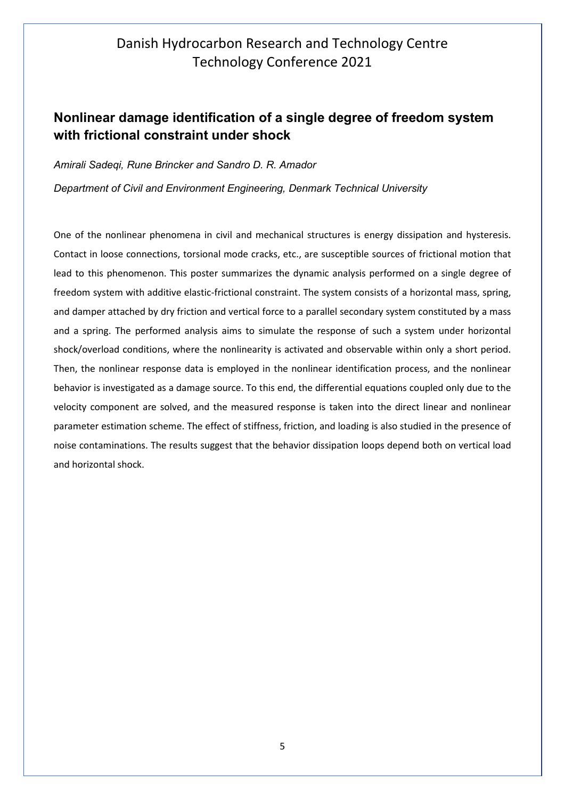#### <span id="page-4-0"></span>**Nonlinear damage identification of a single degree of freedom system with frictional constraint under shock**

*Amirali Sadeqi, Rune Brincker and Sandro D. R. Amador*

*Department of Civil and Environment Engineering, Denmark Technical University*

One of the nonlinear phenomena in civil and mechanical structures is energy dissipation and hysteresis. Contact in loose connections, torsional mode cracks, etc., are susceptible sources of frictional motion that lead to this phenomenon. This poster summarizes the dynamic analysis performed on a single degree of freedom system with additive elastic-frictional constraint. The system consists of a horizontal mass, spring, and damper attached by dry friction and vertical force to a parallel secondary system constituted by a mass and a spring. The performed analysis aims to simulate the response of such a system under horizontal shock/overload conditions, where the nonlinearity is activated and observable within only a short period. Then, the nonlinear response data is employed in the nonlinear identification process, and the nonlinear behavior is investigated as a damage source. To this end, the differential equations coupled only due to the velocity component are solved, and the measured response is taken into the direct linear and nonlinear parameter estimation scheme. The effect of stiffness, friction, and loading is also studied in the presence of noise contaminations. The results suggest that the behavior dissipation loops depend both on vertical load and horizontal shock.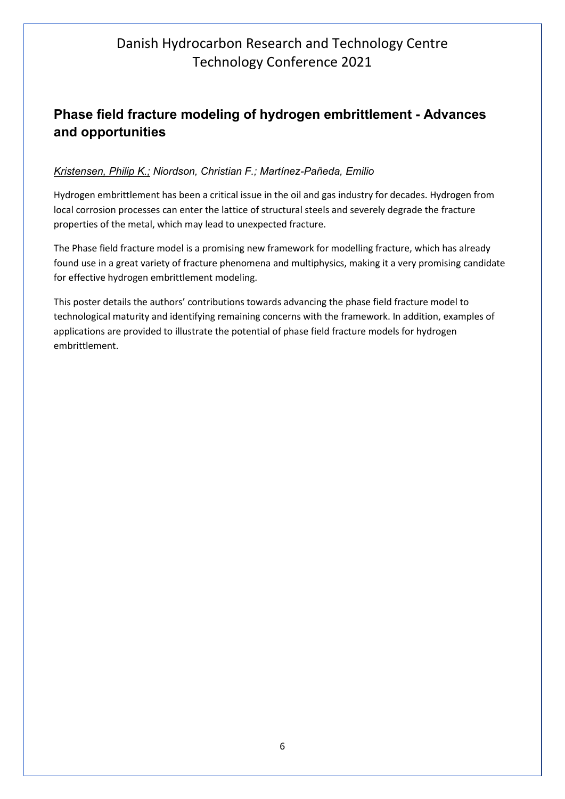#### <span id="page-5-0"></span>**Phase field fracture modeling of hydrogen embrittlement - Advances and opportunities**

#### *Kristensen, Philip K.; Niordson, Christian F.; Martínez-Pañeda, Emilio*

Hydrogen embrittlement has been a critical issue in the oil and gas industry for decades. Hydrogen from local corrosion processes can enter the lattice of structural steels and severely degrade the fracture properties of the metal, which may lead to unexpected fracture.

The Phase field fracture model is a promising new framework for modelling fracture, which has already found use in a great variety of fracture phenomena and multiphysics, making it a very promising candidate for effective hydrogen embrittlement modeling.

This poster details the authors' contributions towards advancing the phase field fracture model to technological maturity and identifying remaining concerns with the framework. In addition, examples of applications are provided to illustrate the potential of phase field fracture models for hydrogen embrittlement.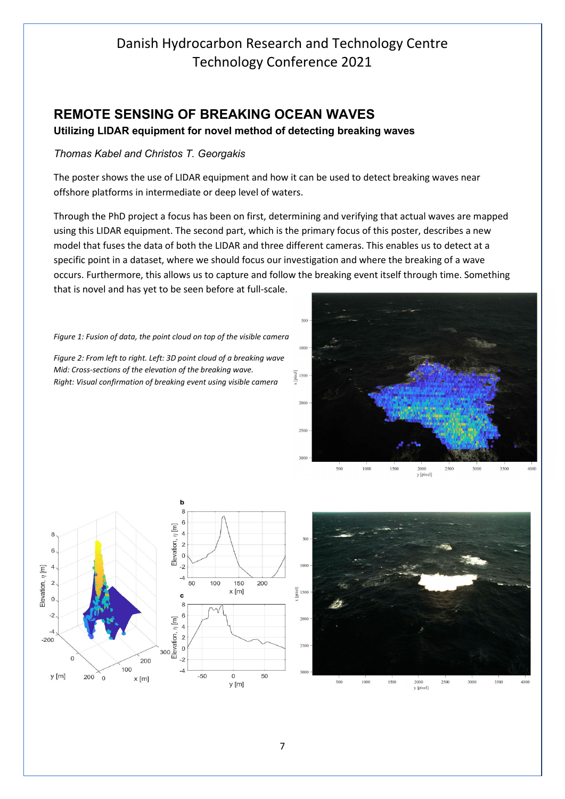#### <span id="page-6-0"></span>**REMOTE SENSING OF BREAKING OCEAN WAVES**

**Utilizing LIDAR equipment for novel method of detecting breaking waves**

#### *Thomas Kabel and Christos T. Georgakis*

The poster shows the use of LIDAR equipment and how it can be used to detect breaking waves near offshore platforms in intermediate or deep level of waters.

Through the PhD project a focus has been on first, determining and verifying that actual waves are mapped using this LIDAR equipment. The second part, which is the primary focus of this poster, describes a new model that fuses the data of both the LIDAR and three different cameras. This enables us to detect at a specific point in a dataset, where we should focus our investigation and where the breaking of a wave occurs. Furthermore, this allows us to capture and follow the breaking event itself through time. Something that is novel and has yet to be seen before at full-scale.

*Figure 1: Fusion of data, the point cloud on top of the visible camera*

*Figure 2: From left to right. Left: 3D point cloud of a breaking wave Mid: Cross-sections of the elevation of the breaking wave. Right: Visual confirmation of breaking event using visible camera*



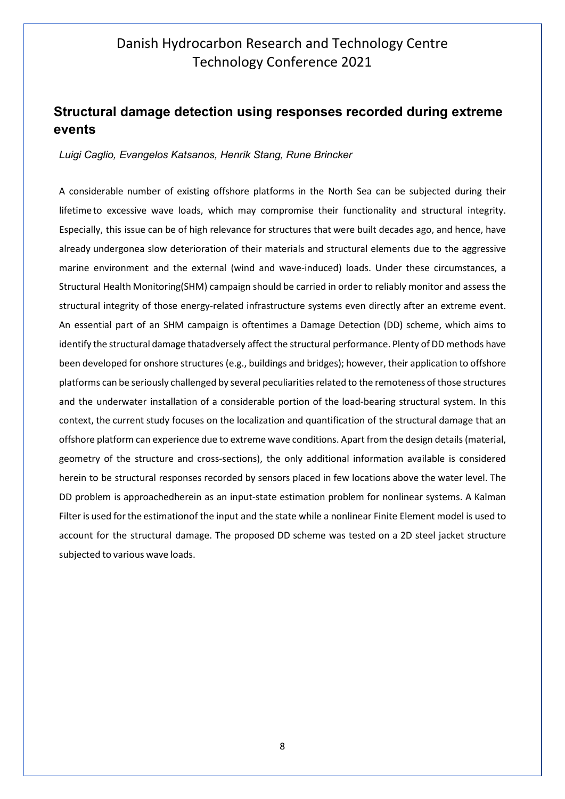#### <span id="page-7-0"></span>**Structural damage detection using responses recorded during extreme events**

#### *Luigi Caglio, Evangelos Katsanos, Henrik Stang, Rune Brincker*

A considerable number of existing offshore platforms in the North Sea can be subjected during their lifetime to excessive wave loads, which may compromise their functionality and structural integrity. Especially, this issue can be of high relevance for structures that were built decades ago, and hence, have already undergonea slow deterioration of their materials and structural elements due to the aggressive marine environment and the external (wind and wave-induced) loads. Under these circumstances, a Structural Health Monitoring(SHM) campaign should be carried in order to reliably monitor and assess the structural integrity of those energy-related infrastructure systems even directly after an extreme event. An essential part of an SHM campaign is oftentimes a Damage Detection (DD) scheme, which aims to identify the structural damage thatadversely affect the structural performance. Plenty of DD methods have been developed for onshore structures (e.g., buildings and bridges); however, their application to offshore platforms can be seriously challenged by several peculiaritiesrelated to the remoteness of those structures and the underwater installation of a considerable portion of the load-bearing structural system. In this context, the current study focuses on the localization and quantification of the structural damage that an offshore platform can experience due to extreme wave conditions. Apart from the design details (material, geometry of the structure and cross-sections), the only additional information available is considered herein to be structural responses recorded by sensors placed in few locations above the water level. The DD problem is approachedherein as an input-state estimation problem for nonlinear systems. A Kalman Filter is used forthe estimationof the input and the state while a nonlinear Finite Element model is used to account for the structural damage. The proposed DD scheme was tested on a 2D steel jacket structure subjected to various wave loads.